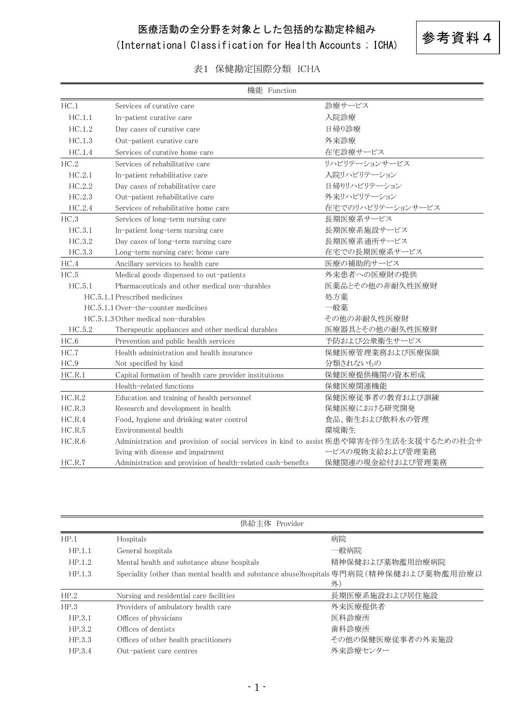医療活動の全分野を対象とした包括的な勘定枠組み

## 医療活動の全分野を対家とした包括的な勘定作組み<br>(International Classification for Health Accounts ; ICHA) | 参考資料4



## 表1 保健勘定国際分類 ICHA

| 機能 Function                                                            |                                                                                         |                   |  |
|------------------------------------------------------------------------|-----------------------------------------------------------------------------------------|-------------------|--|
| HC.1                                                                   | Services of curative care                                                               | 診療サービス            |  |
| HC.1.1                                                                 | In-patient curative care                                                                | 入院診療              |  |
| HC.1.2                                                                 | Day cases of curative care                                                              | 日帰り診療             |  |
| HC.1.3                                                                 | Out-patient curative care                                                               | 外来診療              |  |
| HC.1.4                                                                 | Services of curative home care                                                          | 在宅診療サービス          |  |
| HC.2<br>Services of rehabilitative care                                |                                                                                         | リハビリテーションサービス     |  |
| HC.2.1                                                                 | In-patient rehabilitative care                                                          | 入院リハビリテーション       |  |
| HC.2.2                                                                 | Day cases of rehabilitative care                                                        | 日帰りリハビリテーション      |  |
| HC.2.3                                                                 | Out-patient rehabilitative care                                                         | 外来リハビリテーション       |  |
| HC.2.4                                                                 | Services of rehabilitative home care                                                    | 在宅でのリハビリテーションサービス |  |
| HC.3                                                                   | Services of long-term nursing care                                                      | 長期医療系サービス         |  |
| HC.3.1                                                                 | In-patient long-term nursing care                                                       | 長期医療系施設サービス       |  |
| HC.3.2                                                                 | Day cases of long-term nursing care                                                     | 長期医療系通所サービス       |  |
| HC.3.3                                                                 | Long-term nursing care: home care                                                       | 在宅での長期医療系サービス     |  |
| HC.4                                                                   | Ancillary services to health care                                                       | 医療の補助的サービス        |  |
| HC.5                                                                   | Medical goods dispensed to out-patients                                                 | 外来患者への医療財の提供      |  |
| HC.5.1                                                                 | Pharmaceuticals and other medical non-durables                                          | 医薬品とその他の非耐久性医療財   |  |
|                                                                        | HC.5.1.1 Prescribed medicines                                                           | 処方薬               |  |
| HC.5.1.1 Over-the-counter medicines                                    |                                                                                         | 一般薬               |  |
| HC.5.1.3 Other medical non-durables                                    |                                                                                         | その他の非耐久性医療財       |  |
| HC.5.2                                                                 | Therapeutic appliances and other medical durables                                       | 医療器具とその他の耐久性医療財   |  |
| HC.6                                                                   | Prevention and public health services                                                   | 予防および公衆衛生サービス     |  |
| HC.7                                                                   | Health administration and health insurance                                              | 保健医療管理業務および医療保険   |  |
| HC.9                                                                   | Not specified by kind                                                                   | 分類されないもの          |  |
| HC.R.1                                                                 | Capital formation of health care provider institutions                                  | 保健医療提供機関の資本形成     |  |
|                                                                        | Health-related functions                                                                | 保健医療関連機能          |  |
| HC.R.2                                                                 | Education and training of health personnel                                              | 保健医療従事者の教育および訓練   |  |
| HC.R.3                                                                 | Research and development in health                                                      | 保健医療における研究開発      |  |
| HC.R.4                                                                 | Food, hygiene and drinking water control                                                | 食品、衛生および飲料水の管理    |  |
| HC.R.5                                                                 | Environmental health                                                                    | 環境衛生              |  |
| HC.R.6                                                                 | Administration and provision of social services in kind to assist 疾患や障害を伴う生活を支援するための社会サ |                   |  |
|                                                                        | living with disease and impairment                                                      | ービスの現物支給および管理業務   |  |
| HC.R.7<br>Administration and provision of health-related cash-benefits |                                                                                         | 保健関連の現金給付および管理業務  |  |

| 供給主体 Provider |                                                                                         |                  |  |  |
|---------------|-----------------------------------------------------------------------------------------|------------------|--|--|
| HP.1          | Hospitals                                                                               | 病院               |  |  |
| HP.1.1        | General hospitals                                                                       | 一般病院             |  |  |
| HP.1.2        | Mental health and substance abuse hospitals                                             | 精神保健および薬物濫用治療病院  |  |  |
| HP.1.3        | Speciality (other than mental health and substance abuse)hospitals 専門病院 (精神保健および薬物濫用治療以 | 外)               |  |  |
| HP.2          | Nursing and residential care facilities                                                 | 長期医療系施設および居住施設   |  |  |
| HP.3          | Providers of ambulatory health care                                                     | 外来医療提供者          |  |  |
| HP.3.1        | Offices of physicians                                                                   | 医科診療所            |  |  |
| HP.3.2        | Offices of dentists                                                                     | 歯科診療所            |  |  |
| HP.3.3        | Offices of other health practitioners                                                   | その他の保健医療従事者の外来施設 |  |  |
| HP.3.4        | Out-patient care centres                                                                | 外来診療センター         |  |  |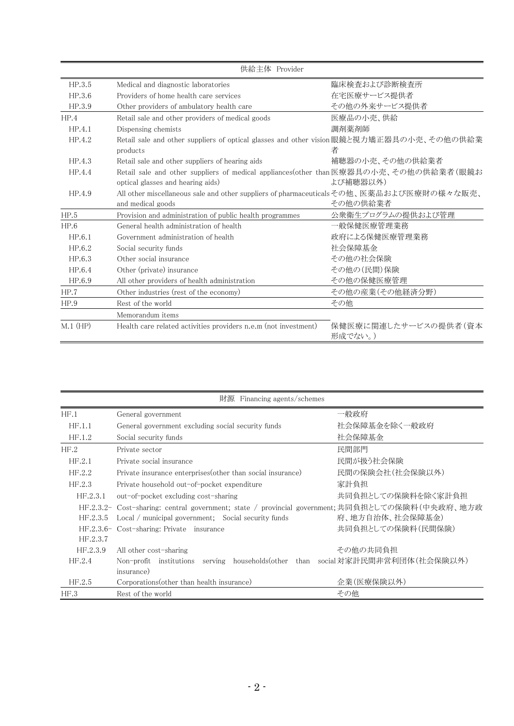| 供給主体 Provider |                                                                                         |                                 |  |  |
|---------------|-----------------------------------------------------------------------------------------|---------------------------------|--|--|
| HP.3.5        | Medical and diagnostic laboratories                                                     | 臨床検査および診断検査所                    |  |  |
| HP.3.6        | Providers of home health care services                                                  | 在宅医療サービス提供者                     |  |  |
| HP.3.9        | Other providers of ambulatory health care                                               | その他の外来サービス提供者                   |  |  |
| HP.4          | Retail sale and other providers of medical goods                                        | 医療品の小売、供給                       |  |  |
| HP.4.1        | 調剤薬剤師<br>Dispensing chemists                                                            |                                 |  |  |
| HP.4.2        | Retail sale and other suppliers of optical glasses and other vision眼鏡と視力矯正器具の小売、その他の供給業 |                                 |  |  |
|               | products                                                                                | 者                               |  |  |
| HP.4.3        | Retail sale and other suppliers of hearing aids                                         | 補聴器の小売、その他の供給業者                 |  |  |
| HP.4.4        | Retail sale and other suppliers of medical appliances(other than医療器具の小売、その他の供給業者(眼鏡お    |                                 |  |  |
|               | optical glasses and hearing aids)                                                       | よび補聴器以外)                        |  |  |
| HP.4.9        | All other miscellaneous sale and other suppliers of pharmaceuticalsその他、医薬品および医療財の様々な販売、 |                                 |  |  |
|               | and medical goods                                                                       | その他の供給業者                        |  |  |
| HP.5          | Provision and administration of public health programmes                                | 公衆衛生プログラムの提供および管理               |  |  |
| HP.6          | General health administration of health                                                 | 一般保健医療管理業務                      |  |  |
| HP.6.1        | Government administration of health                                                     | 政府による保健医療管理業務                   |  |  |
| HP.6.2        | Social security funds                                                                   | 社会保障基金                          |  |  |
| HP.6.3        | Other social insurance                                                                  | その他の社会保険                        |  |  |
| HP.6.4        | Other (private) insurance                                                               | その他の(民間)保険                      |  |  |
| HP.6.9        | All other providers of health administration                                            | その他の保健医療管理                      |  |  |
| HP.7          | Other industries (rest of the economy)                                                  | その他の産業(その他経済分野)                 |  |  |
| HP.9          | Rest of the world                                                                       | その他                             |  |  |
|               | Memorandum items                                                                        |                                 |  |  |
| $M.1$ (HP)    | Health care related activities providers n.e.m (not investment)                         | 保健医療に関連したサービスの提供者(資本<br>形成でない。) |  |  |

| 財源 Financing agents/schemes |                                                                                                |                    |  |  |  |
|-----------------------------|------------------------------------------------------------------------------------------------|--------------------|--|--|--|
| HF.1                        | General government                                                                             | 一般政府               |  |  |  |
| HF.1.1                      | General government excluding social security funds                                             | 社会保障基金を除く一般政府      |  |  |  |
| HF.1.2                      | Social security funds                                                                          | 社会保障基金             |  |  |  |
| HF.2                        | Private sector                                                                                 | 民間部門               |  |  |  |
| HF.2.1                      | Private social insurance                                                                       | 民間が扱う社会保険          |  |  |  |
| HF.2.2                      | Private insurance enterprises (other than social insurance)                                    | 民間の保険会社(社会保険以外)    |  |  |  |
| HF.2.3                      | Private household out-of-pocket expenditure                                                    | 家計負担               |  |  |  |
| HF.2.3.1                    | out-of-pocket excluding cost-sharing                                                           | 共同負担としての保険料を除く家計負担 |  |  |  |
|                             | HF.2.3.2- Cost-sharing: central government; state / provincial government;共同負担としての保険料(中央政府、地方政 |                    |  |  |  |
| HF.2.3.5                    | Local / municipal government; Social security funds                                            | 府、地方自治体、社会保障基金)    |  |  |  |
|                             | HF.2.3.6- Cost-sharing: Private insurance                                                      | 共同負担としての保険料(民間保険)  |  |  |  |
| HF.2.3.7                    |                                                                                                |                    |  |  |  |
| HF.2.3.9                    | All other cost-sharing                                                                         | その他の共同負担           |  |  |  |
| HF.2.4                      | Non-profit institutions serving households(other than social対家計民間非営利団体(社会保険以外)                 |                    |  |  |  |
|                             | insurance)                                                                                     |                    |  |  |  |
| HF.2.5                      | Corporations (other than health insurance)                                                     | 企業(医療保険以外)         |  |  |  |
| HF.3                        | その他<br>Rest of the world                                                                       |                    |  |  |  |